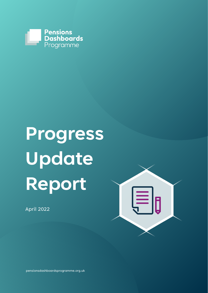

# **Progress Update Report**

April 2022



[pensionsdashboardsprogramme.org.uk](http://www.pensionsdashboardsprogramme.org.uk/)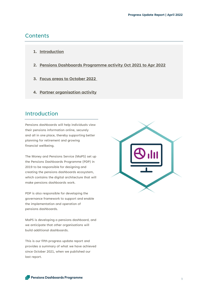### **Contents**

- <span id="page-1-0"></span>**1. [Introduction](#page-1-0)**
- **2. [Pensions Dashboards Programme activity Oct 2021 to Apr 2022](#page-2-0)**
- **3. [Focus areas to October 2022](#page-5-0)**
- **4. [Partner organisation activity](#page-7-0)**

# Introduction

Pensions dashboards will help individuals view their pensions information online, securely and all in one place, thereby supporting better planning for retirement and growing financial wellbeing.

The Money and Pensions Service (MaPS) set up the Pensions Dashboards Programme (PDP) in 2019 to be responsible for designing and creating the pensions dashboards ecosystem, which contains the digital architecture that will make pensions dashboards work.

PDP is also responsible for developing the governance framework to support and enable the implementation and operation of pensions dashboards.

MaPS is developing a pensions dashboard, and we anticipate that other organisations will build additional dashboards.

This is our fifth progress update report and provides a summary of what we have achieved since October 2021, when we published our last report.

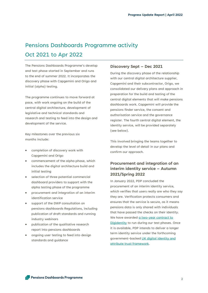# <span id="page-2-0"></span>Pensions Dashboards Programme activity Oct 2021 to Apr 2022

The Pensions Dashboards Programme's develop and test phase started in September and runs to the end of summer 2022. It incorporates the discovery phase with Capgemini and Origo and initial (alpha) testing.

The programme continues to move forward at pace, with work ongoing on the build of the central digital architecture, development of legislative and technical standards and research and testing to feed into the design and development of the service.

Key milestones over the previous six months include:

- completion of discovery work with Capgemini and Origo
- commencement of the alpha phase, which includes the digital architecture build and initial testing
- selection of three potential commercial dashboard providers to support with the alpha testing phase of the programme
- procurement and integration of an interim identification service
- support of the DWP consultation on pensions dashboards Regulations, including publication of draft standards and running industry webinars
- publication of the qualitative research report into pensions dashboards
- ongoing user testing to feed into design standards and guidance

#### **Discovery Sept – Dec 2021**

During the discovery phase of the relationship with our central digital architecture supplier, Capgemini and their subcontractor, Origo, we consolidated our delivery plans and approach in preparation for the build and testing of the central digital elements that will make pensions dashboards work. Capgemini will provide the pensions finder service, the consent and authorisation service and the governance register. The fourth central digital element, the identity service, will be provided separately (see below).

This involved bringing the teams together to develop the level of detail in our plans and confirm our approach.

#### **Procurement and integration of an interim identity service – Autumn 2021/Spring 2022**

In January 2022, PDP concluded the procurement of an interim identity service, which verifies that users really are who they say they are. Verification protects consumers and ensures that the service is secure, as it means pensions data is only shared with individuals that have passed the checks on their identity. We have awarded a two-year contract to [Digidentity](https://www.pensionsdashboardsprogramme.org.uk/2022/02/07/pdp-appoints-digidentity-identity-service-supplier/) to run during our test phases. Once it is available, PDP intends to deliver a longer term identity service under the forthcoming government-backed [UK digital identity and](https://nam10.safelinks.protection.outlook.com/?url=https%3A%2F%2Fmcas-proxyweb.mcas.ms%2Fcertificate-checker%3Flogin%3Dfalse%26originalUrl%3Dhttps%253A%252F%252Fwww.pensionsdashboardsprogramme.org.uk.mcas.ms%252Fidentity-service%252Fuk-digital-trust-framework%252F%253FMcasTsid%253D15600%26McasCSRF%3Dfe2ced97f8f6b5d7744341508a66a1aa97624adc061fc1d4681b86e584624d6a&data=04%7C01%7Cmdekock%40digidentity.com%7C96995c336a61418ba14408d9dbf2407d%7Cc45b48f313bb448b9356ba7b863c2189%7C1%7C0%7C637782655797306935%7CUnknown%7CTWFpbGZsb3d8eyJWIjoiMC4wLjAwMDAiLCJQIjoiV2luMzIiLCJBTiI6Ik1haWwiLCJXVCI6Mn0%3D%7C2000&sdata=X2cXQZw58eMeaIFLf7DsrajXdrryeangUcmrr2%2F40vA%3D&reserved=0)  [attribute trust framework.](https://nam10.safelinks.protection.outlook.com/?url=https%3A%2F%2Fmcas-proxyweb.mcas.ms%2Fcertificate-checker%3Flogin%3Dfalse%26originalUrl%3Dhttps%253A%252F%252Fwww.pensionsdashboardsprogramme.org.uk.mcas.ms%252Fidentity-service%252Fuk-digital-trust-framework%252F%253FMcasTsid%253D15600%26McasCSRF%3Dfe2ced97f8f6b5d7744341508a66a1aa97624adc061fc1d4681b86e584624d6a&data=04%7C01%7Cmdekock%40digidentity.com%7C96995c336a61418ba14408d9dbf2407d%7Cc45b48f313bb448b9356ba7b863c2189%7C1%7C0%7C637782655797306935%7CUnknown%7CTWFpbGZsb3d8eyJWIjoiMC4wLjAwMDAiLCJQIjoiV2luMzIiLCJBTiI6Ik1haWwiLCJXVCI6Mn0%3D%7C2000&sdata=X2cXQZw58eMeaIFLf7DsrajXdrryeangUcmrr2%2F40vA%3D&reserved=0)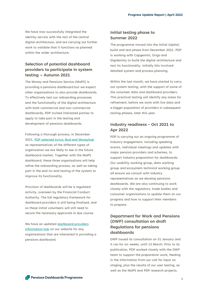We have now successfully integrated the identity service with the rest of the central digital architecture, and are carrying out further work to validate that it functions as planned within the wider architecture.

#### **Selection of potential dashboard providers to participate in system testing – Autumn 2021**

The Money and Pensions Service (MaPS) is providing a pensions dashboard but we expect other organisations to also provide dashboards. To effectively test our onboarding processes and the functionality of the digital architecture with both commercial and non-commercial dashboards, PDP invited interested parties to apply to take part in the testing and development of pensions dashboards.

Following a thorough process, in December 2021, [PDP selected Aviva, Bud and Moneyhub](https://www.pensionsdashboardsprogramme.org.uk/2021/12/15/pdp-announces-pensions-dashboards-providers-support-development/) as representatives of the different types of organisation we are likely to see in the future dashboard market. Together with the MaPS dashboard, these three organisations will help refine the onboarding process, as well as taking part in the end-to-end testing of the system to improve its functionality.

Provision of dashboards will be a regulated activity, overseen by the Financial Conduct Authority. The full regulatory framework for dashboard providers is still being finalised, and so these initial volunteers will still need to secure the necessary approvals in due course.

We have an updated dashboard providers [information hub](https://www.pensionsdashboardsprogramme.org.uk/dashboard-providers/) on our website for any organisations that are interested in providing a pensions dashboard.

#### **Initial testing phase to Summer 2022**

The programme moved into the initial (alpha) build and test phase from December 2021. PDP is working with Capgemini, Origo and Digidentity to build the digital architecture and test its functionality. Initially this involved detailed system and process planning.

Within the last month, we have started to carry out system testing, with the support of some of the volunteer data and dashboard providers. This practical testing will identify any areas for refinement, before we work with live data and a bigger population of providers in subsequent testing phases, later this year.

#### **Industry readiness - Oct 2021 to Apr 2022**

PDP is carrying out an ongoing programme of industry engagement, including speaking events, individual meetings and updates with major pension providers and schemes, to support industry preparation for dashboards. Our usability working group, data working group and ecosystem technical working group all ensure we consult with industry representatives as we develop pensions dashboards. We are also continuing to work closely with the regulators, trade bodies and consumer organisations to update them on our progress and how to support their members to prepare.

#### **Department for Work and Pensions (DWP) consultation on draft Regulations for pensions dashboards**

DWP issued its consultation on 31 January and it ran for six weeks, until 13 March. Prior to its publication, PDP worked closely with the DWP team to support the preparation work, feeding in the information from our call for input on staging, plus the results of our user testing, as well as the MaPS and PDP research projects.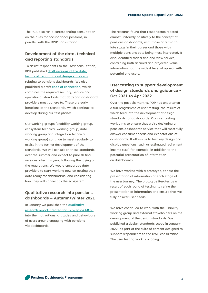The FCA also ran a corresponding consultation on the rules for occupational pensions, in parallel with the DWP consultation.

#### **Development of the data, technical and reporting standards**

To assist respondents to the DWP consultation, PDP publishe[d draft versions of the data,](https://www.pensionsdashboardsprogramme.org.uk/info-consultation-standards/)  [technical, reporting and design standards](https://www.pensionsdashboardsprogramme.org.uk/info-consultation-standards/) relating to pensions dashboards. We also published a draf[t code of connection,](https://www.pensionsdashboardsprogramme.org.uk/2022/01/31/code-of-connection/) which combines the required security, service and operational standards that data and dashboard providers must adhere to. These are early iterations of the standards, which continue to develop during our test phases.

Our working groups (usability working group, ecosystem technical working group, data working group and integration technical working group) continue to meet regularly to assist in the further development of the standards. We will consult on these standards over the summer and expect to publish final versions later this year, following the laying of the regulations. We would encourage data providers to start working now on getting their data ready for dashboards, and considering how they will connect to the ecosystem.

#### **Qualitative research into pensions dashboards – Autumn/Winter 2021**

In January we published the [qualitative](https://www.pensionsdashboardsprogramme.org.uk/2022/01/25/qualitative-research-dashboard-users/)  [research report, created for us by Ipsos MORI,](https://www.pensionsdashboardsprogramme.org.uk/2022/01/25/qualitative-research-dashboard-users/) into the motivations, attitudes and behaviours of users around engaging with pensions via dashboards.

The research found that respondents reacted almost uniformly positively to the concept of pensions dashboards, with those at a mid to late stage in their career and those with multiple pensions pots being most interested. It also identified that a find and view service, containing both accrued and projected value information had the widest level of appeal with potential end users.

#### **User testing to support development of design standards and guidance - Oct 2021 to Apr 2022**

Over the past six months, PDP has undertaken a full programme of user testing, the results of which feed into the development of design standards for dashboards. Our user testing work aims to ensure that we're designing a pensions dashboards service that will most fully answer consumer needs and expectations of dashboards. It allows us to test key design and display questions, such as estimated retirement income (ERI) for example, in addition to the potential presentation of information on dashboards.

We have worked with a prototype, to test the presentation of information at each stage of the user journey. The prototype iterates as a result of each round of testing, to refine the presentation of information and ensure that we fully answer user needs.

We have continued to work with the usability working group and external stakeholders on the development of the design standards. We published a design standards scope in January 2022, as part of the suite of content designed to support respondents to the DWP consultation. The user testing work is ongoing.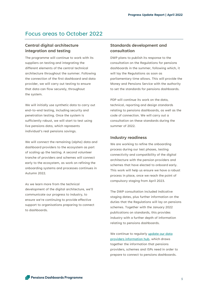## <span id="page-5-0"></span>Focus areas to October 2022

#### **Central digital architecture integration and testing**

The programme will continue to work with its suppliers on testing and integrating the different elements of the central technical architecture throughout the summer. Following the connection of the first dashboard and data provider, we will carry out testing to ensure that data can flow securely, throughout the system.

We will initially use synthetic data to carry out end-to-end testing, including security and penetration testing. Once the system is sufficiently robust, we will start to test using live pensions data, which represents individual's real pensions savings.

We will connect the remaining (alpha) data and dashboard providers to the ecosystem as part of scaling up the testing. A second volunteer tranche of providers and schemes will connect early to the ecosystem, as work on refining the onboarding systems and processes continues in Autumn 2022.

As we learn more from the technical development of the digital architecture, we'll communicate our progress to industry, to ensure we're continuing to provide effective support to organisations preparing to connect to dashboards.

#### **Standards development and consultation**

DWP plans to publish its response to the consultation on the Regulations for pensions dashboards in the summer, following which, it will lay the Regulations as soon as parliamentary time allows. This will provide the Money and Pensions Service with the authority to set the standards for pensions dashboards.

PDP will continue its work on the data, technical, reporting and design standards relating to pensions dashboards, as well as the code of connection. We will carry out a consultation on these standards during the summer of 2022.

#### **Industry readiness**

We are working to refine the onboarding process during our test phases, testing connectivity and compatibility of the digital architecture with the pension providers and schemes that have elected to onboard early. This work will help us ensure we have a robust process in place, once we reach the point of compulsory staging from April 2023.

The DWP consultation included indicative staging dates, plus further information on the duties that the Regulations will lay on pensions schemes. Together with the January 2022 publications on standards, this provides industry with a further depth of information relating to pensions dashboards.

We continue to regularly update our data [providers information hub,](https://www.pensionsdashboardsprogramme.org.uk/data-providers/) which draws together the information that pensions providers, schemes and ISPs need in order to prepare to connect to pensions dashboards.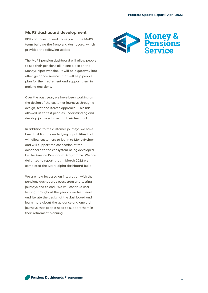#### **MaPS dashboard development**

PDP continues to work closely with the MaPS team building the front-end dashboard, which provided the following update:

The MaPS pension dashboard will allow people to see their pensions all in one place on the MoneyHelper website. It will be a gateway into other guidance services that will help people plan for their retirement and support them in making decisions.

Over the past year, we have been working on the design of the customer journeys through a design, test and iterate approach. This has allowed us to test peoples understanding and develop journeys based on their feedback.

In addition to the customer journeys we have been building the underlying capabilities that will allow customers to log in to MoneyHelper and will support the connection of the dashboard to the ecosystem being developed by the Pension Dashboard Programme. We are delighted to report that in March 2022 we completed the MaPS alpha dashboard build.   

We are now focussed on integration with the pensions dashboards ecosystem and testing journeys end to end. We will continue user testing throughout the year as we test, learn and iterate the design of the dashboard and learn more about the guidance and onward journeys that people need to support them in their retirement planning.